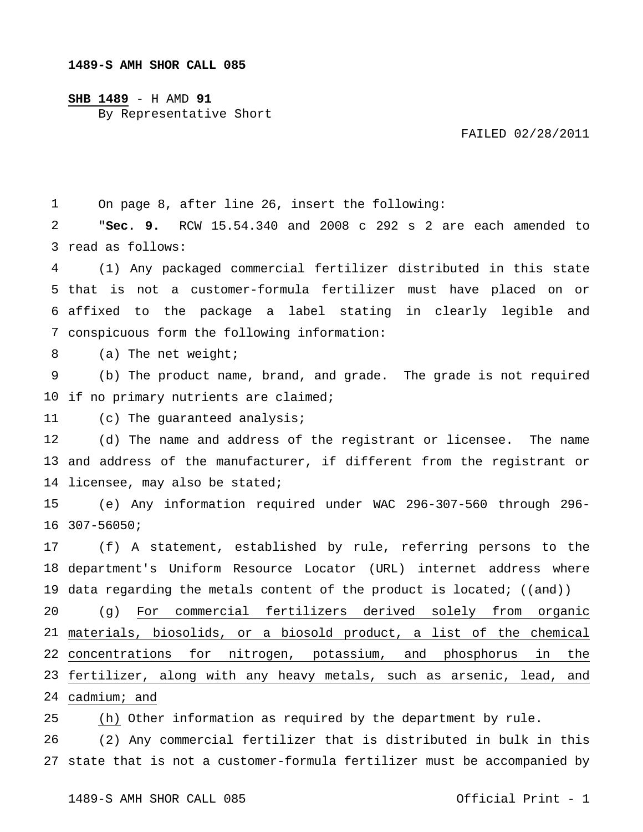## **SHB 1489** - H AMD **91**

By Representative Short

FAILED 02/28/2011

1 On page 8, after line 26, insert the following:

2 3 read as follows: "**Sec. 9.** RCW 15.54.340 and 2008 c 292 s 2 are each amended to

4 5 that is not a customer-formula fertilizer must have placed on or 6 affixed to the package a label stating in clearly legible and 7 conspicuous form the following information: (1) Any packaged commercial fertilizer distributed in this state

8 (a) The net weight;

9 10 if no primary nutrients are claimed; (b) The product name, brand, and grade. The grade is not required

11 (c) The guaranteed analysis;

12 13 and address of the manufacturer, if different from the registrant or 14 licensee, may also be stated; (d) The name and address of the registrant or licensee. The name

15 16 307-56050; (e) Any information required under WAC 296-307-560 through 296-

17 18 department's Uniform Resource Locator (URL) internet address where 19 data regarding the metals content of the product is located; ((<del>and</del>)) (f) A statement, established by rule, referring persons to the

20 materials, biosolids, or a biosold product, a list of the chemical concentrations for nitrogen, potassium, and phosphorus in the fertilizer, along with any heavy metals, such as arsenic, lead, and cadmium; and (g) For commercial fertilizers derived solely from organic

25 (h) Other information as required by the department by rule.

26 27 state that is not a customer-formula fertilizer must be accompanied by (2) Any commercial fertilizer that is distributed in bulk in this